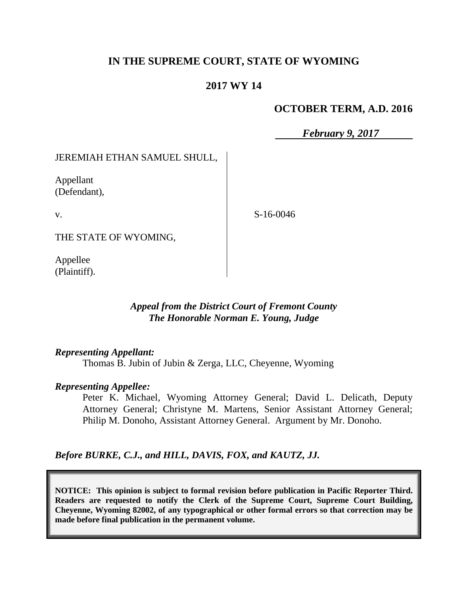# **IN THE SUPREME COURT, STATE OF WYOMING**

## **2017 WY 14**

## **OCTOBER TERM, A.D. 2016**

*February 9, 2017*

JEREMIAH ETHAN SAMUEL SHULL,

Appellant (Defendant),

v.

S-16-0046

THE STATE OF WYOMING,

Appellee (Plaintiff).

## *Appeal from the District Court of Fremont County The Honorable Norman E. Young, Judge*

#### *Representing Appellant:*

Thomas B. Jubin of Jubin & Zerga, LLC, Cheyenne, Wyoming

#### *Representing Appellee:*

Peter K. Michael, Wyoming Attorney General; David L. Delicath, Deputy Attorney General; Christyne M. Martens, Senior Assistant Attorney General; Philip M. Donoho, Assistant Attorney General. Argument by Mr. Donoho.

*Before BURKE, C.J., and HILL, DAVIS, FOX, and KAUTZ, JJ.*

**NOTICE: This opinion is subject to formal revision before publication in Pacific Reporter Third. Readers are requested to notify the Clerk of the Supreme Court, Supreme Court Building, Cheyenne, Wyoming 82002, of any typographical or other formal errors so that correction may be made before final publication in the permanent volume.**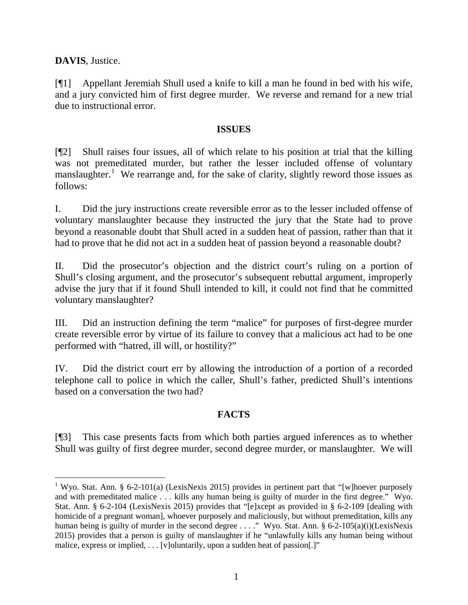**DAVIS**, Justice.

[¶1] Appellant Jeremiah Shull used a knife to kill a man he found in bed with his wife, and a jury convicted him of first degree murder. We reverse and remand for a new trial due to instructional error.

#### **ISSUES**

[¶2] Shull raises four issues, all of which relate to his position at trial that the killing was not premeditated murder, but rather the lesser included offense of voluntary manslaughter.<sup>[1](#page-1-0)</sup> We rearrange and, for the sake of clarity, slightly reword those issues as follows:

I. Did the jury instructions create reversible error as to the lesser included offense of voluntary manslaughter because they instructed the jury that the State had to prove beyond a reasonable doubt that Shull acted in a sudden heat of passion, rather than that it had to prove that he did not act in a sudden heat of passion beyond a reasonable doubt?

II. Did the prosecutor's objection and the district court's ruling on a portion of Shull's closing argument, and the prosecutor's subsequent rebuttal argument, improperly advise the jury that if it found Shull intended to kill, it could not find that he committed voluntary manslaughter?

III. Did an instruction defining the term "malice" for purposes of first-degree murder create reversible error by virtue of its failure to convey that a malicious act had to be one performed with "hatred, ill will, or hostility?"

IV. Did the district court err by allowing the introduction of a portion of a recorded telephone call to police in which the caller, Shull's father, predicted Shull's intentions based on a conversation the two had?

## **FACTS**

[¶3] This case presents facts from which both parties argued inferences as to whether Shull was guilty of first degree murder, second degree murder, or manslaughter. We will

<span id="page-1-0"></span><sup>&</sup>lt;sup>1</sup> Wyo. Stat. Ann. § 6-2-101(a) (LexisNexis 2015) provides in pertinent part that "[w]hoever purposely and with premeditated malice . . . kills any human being is guilty of murder in the first degree." Wyo. Stat. Ann. § 6-2-104 (LexisNexis 2015) provides that "[e]xcept as provided in § 6-2-109 [dealing with homicide of a pregnant woman], whoever purposely and maliciously, but without premeditation, kills any human being is guilty of murder in the second degree . . . ." Wyo. Stat. Ann. § 6-2-105(a)(i)(LexisNexis 2015) provides that a person is guilty of manslaughter if he "unlawfully kills any human being without malice, express or implied, . . . [v]oluntarily, upon a sudden heat of passion[.]"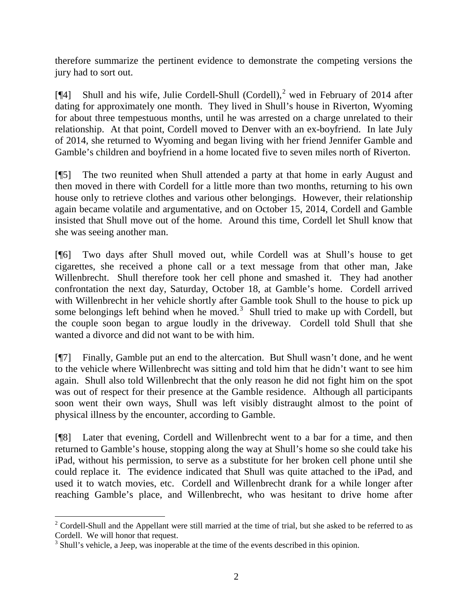therefore summarize the pertinent evidence to demonstrate the competing versions the jury had to sort out.

[ $[$ 4] Shull and his wife, Julie Cordell-Shull (Cordell),<sup>[2](#page-2-0)</sup> wed in February of 2014 after dating for approximately one month. They lived in Shull's house in Riverton, Wyoming for about three tempestuous months, until he was arrested on a charge unrelated to their relationship. At that point, Cordell moved to Denver with an ex-boyfriend. In late July of 2014, she returned to Wyoming and began living with her friend Jennifer Gamble and Gamble's children and boyfriend in a home located five to seven miles north of Riverton.

[¶5] The two reunited when Shull attended a party at that home in early August and then moved in there with Cordell for a little more than two months, returning to his own house only to retrieve clothes and various other belongings. However, their relationship again became volatile and argumentative, and on October 15, 2014, Cordell and Gamble insisted that Shull move out of the home. Around this time, Cordell let Shull know that she was seeing another man.

[¶6] Two days after Shull moved out, while Cordell was at Shull's house to get cigarettes, she received a phone call or a text message from that other man, Jake Willenbrecht. Shull therefore took her cell phone and smashed it. They had another confrontation the next day, Saturday, October 18, at Gamble's home. Cordell arrived with Willenbrecht in her vehicle shortly after Gamble took Shull to the house to pick up some belongings left behind when he moved.<sup>[3](#page-2-1)</sup> Shull tried to make up with Cordell, but the couple soon began to argue loudly in the driveway. Cordell told Shull that she wanted a divorce and did not want to be with him.

[¶7] Finally, Gamble put an end to the altercation. But Shull wasn't done, and he went to the vehicle where Willenbrecht was sitting and told him that he didn't want to see him again. Shull also told Willenbrecht that the only reason he did not fight him on the spot was out of respect for their presence at the Gamble residence. Although all participants soon went their own ways, Shull was left visibly distraught almost to the point of physical illness by the encounter, according to Gamble.

[¶8] Later that evening, Cordell and Willenbrecht went to a bar for a time, and then returned to Gamble's house, stopping along the way at Shull's home so she could take his iPad, without his permission, to serve as a substitute for her broken cell phone until she could replace it. The evidence indicated that Shull was quite attached to the iPad, and used it to watch movies, etc. Cordell and Willenbrecht drank for a while longer after reaching Gamble's place, and Willenbrecht, who was hesitant to drive home after

<span id="page-2-0"></span><sup>&</sup>lt;sup>2</sup> Cordell-Shull and the Appellant were still married at the time of trial, but she asked to be referred to as Cordell. We will honor that request.

<span id="page-2-1"></span><sup>&</sup>lt;sup>3</sup> Shull's vehicle, a Jeep, was inoperable at the time of the events described in this opinion.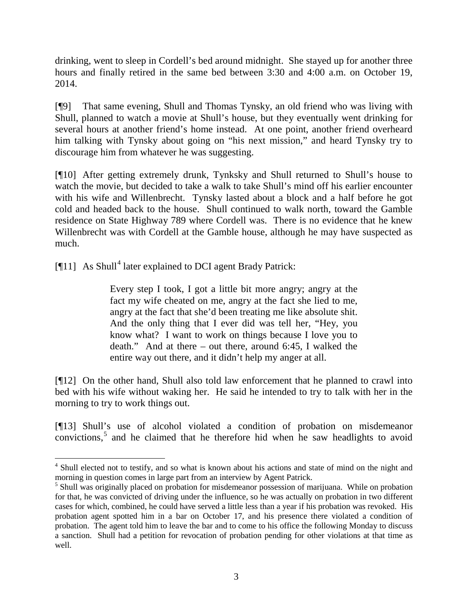drinking, went to sleep in Cordell's bed around midnight. She stayed up for another three hours and finally retired in the same bed between 3:30 and 4:00 a.m. on October 19, 2014.

[¶9] That same evening, Shull and Thomas Tynsky, an old friend who was living with Shull, planned to watch a movie at Shull's house, but they eventually went drinking for several hours at another friend's home instead. At one point, another friend overheard him talking with Tynsky about going on "his next mission," and heard Tynsky try to discourage him from whatever he was suggesting.

[¶10] After getting extremely drunk, Tynksky and Shull returned to Shull's house to watch the movie, but decided to take a walk to take Shull's mind off his earlier encounter with his wife and Willenbrecht. Tynsky lasted about a block and a half before he got cold and headed back to the house. Shull continued to walk north, toward the Gamble residence on State Highway 789 where Cordell was. There is no evidence that he knew Willenbrecht was with Cordell at the Gamble house, although he may have suspected as much.

 $[$ ¶11] As Shull<sup>[4](#page-3-0)</sup> later explained to DCI agent Brady Patrick:

Every step I took, I got a little bit more angry; angry at the fact my wife cheated on me, angry at the fact she lied to me, angry at the fact that she'd been treating me like absolute shit. And the only thing that I ever did was tell her, "Hey, you know what? I want to work on things because I love you to death." And at there – out there, around 6:45, I walked the entire way out there, and it didn't help my anger at all.

[¶12] On the other hand, Shull also told law enforcement that he planned to crawl into bed with his wife without waking her. He said he intended to try to talk with her in the morning to try to work things out.

[¶13] Shull's use of alcohol violated a condition of probation on misdemeanor convictions, [5](#page-3-1) and he claimed that he therefore hid when he saw headlights to avoid

<span id="page-3-0"></span><sup>&</sup>lt;sup>4</sup> Shull elected not to testify, and so what is known about his actions and state of mind on the night and morning in question comes in large part from an interview by Agent Patrick.

<span id="page-3-1"></span><sup>&</sup>lt;sup>5</sup> Shull was originally placed on probation for misdemeanor possession of marijuana. While on probation for that, he was convicted of driving under the influence, so he was actually on probation in two different cases for which, combined, he could have served a little less than a year if his probation was revoked. His probation agent spotted him in a bar on October 17, and his presence there violated a condition of probation. The agent told him to leave the bar and to come to his office the following Monday to discuss a sanction. Shull had a petition for revocation of probation pending for other violations at that time as well.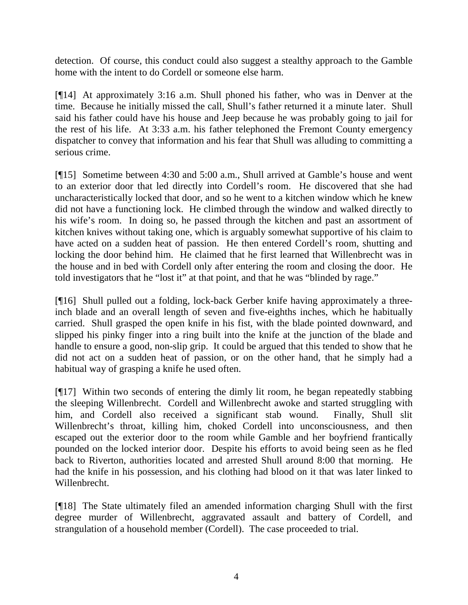detection. Of course, this conduct could also suggest a stealthy approach to the Gamble home with the intent to do Cordell or someone else harm.

[¶14] At approximately 3:16 a.m. Shull phoned his father, who was in Denver at the time. Because he initially missed the call, Shull's father returned it a minute later. Shull said his father could have his house and Jeep because he was probably going to jail for the rest of his life. At 3:33 a.m. his father telephoned the Fremont County emergency dispatcher to convey that information and his fear that Shull was alluding to committing a serious crime.

[¶15] Sometime between 4:30 and 5:00 a.m., Shull arrived at Gamble's house and went to an exterior door that led directly into Cordell's room. He discovered that she had uncharacteristically locked that door, and so he went to a kitchen window which he knew did not have a functioning lock. He climbed through the window and walked directly to his wife's room. In doing so, he passed through the kitchen and past an assortment of kitchen knives without taking one, which is arguably somewhat supportive of his claim to have acted on a sudden heat of passion. He then entered Cordell's room, shutting and locking the door behind him. He claimed that he first learned that Willenbrecht was in the house and in bed with Cordell only after entering the room and closing the door. He told investigators that he "lost it" at that point, and that he was "blinded by rage."

[¶16] Shull pulled out a folding, lock-back Gerber knife having approximately a threeinch blade and an overall length of seven and five-eighths inches, which he habitually carried. Shull grasped the open knife in his fist, with the blade pointed downward, and slipped his pinky finger into a ring built into the knife at the junction of the blade and handle to ensure a good, non-slip grip. It could be argued that this tended to show that he did not act on a sudden heat of passion, or on the other hand, that he simply had a habitual way of grasping a knife he used often.

[¶17] Within two seconds of entering the dimly lit room, he began repeatedly stabbing the sleeping Willenbrecht. Cordell and Willenbrecht awoke and started struggling with him, and Cordell also received a significant stab wound. Finally, Shull slit Willenbrecht's throat, killing him, choked Cordell into unconsciousness, and then escaped out the exterior door to the room while Gamble and her boyfriend frantically pounded on the locked interior door. Despite his efforts to avoid being seen as he fled back to Riverton, authorities located and arrested Shull around 8:00 that morning. He had the knife in his possession, and his clothing had blood on it that was later linked to Willenbrecht.

[¶18] The State ultimately filed an amended information charging Shull with the first degree murder of Willenbrecht, aggravated assault and battery of Cordell, and strangulation of a household member (Cordell). The case proceeded to trial.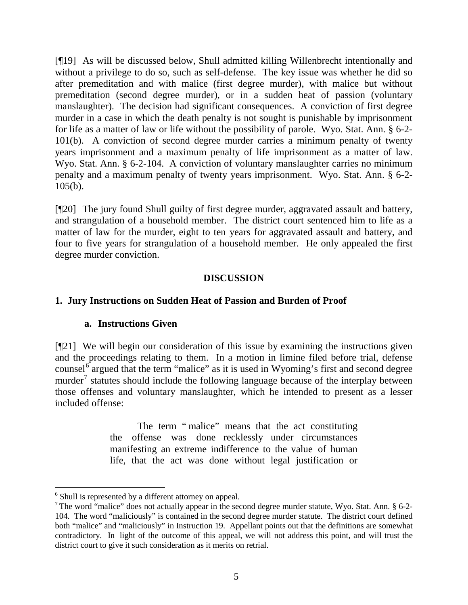[¶19] As will be discussed below, Shull admitted killing Willenbrecht intentionally and without a privilege to do so, such as self-defense. The key issue was whether he did so after premeditation and with malice (first degree murder), with malice but without premeditation (second degree murder), or in a sudden heat of passion (voluntary manslaughter). The decision had significant consequences. A conviction of first degree murder in a case in which the death penalty is not sought is punishable by imprisonment for life as a matter of law or life without the possibility of parole. Wyo. Stat. Ann. § 6-2- 101(b). A conviction of second degree murder carries a minimum penalty of twenty years imprisonment and a maximum penalty of life imprisonment as a matter of law. Wyo. Stat. Ann. § 6-2-104. A conviction of voluntary manslaughter carries no minimum penalty and a maximum penalty of twenty years imprisonment. Wyo. Stat. Ann. § 6-2- 105(b).

[¶20] The jury found Shull guilty of first degree murder, aggravated assault and battery, and strangulation of a household member. The district court sentenced him to life as a matter of law for the murder, eight to ten years for aggravated assault and battery, and four to five years for strangulation of a household member. He only appealed the first degree murder conviction.

## **DISCUSSION**

# **1. Jury Instructions on Sudden Heat of Passion and Burden of Proof**

## **a. Instructions Given**

[¶21] We will begin our consideration of this issue by examining the instructions given and the proceedings relating to them. In a motion in limine filed before trial, defense counsel $6$  argued that the term "malice" as it is used in Wyoming's first and second degree murder<sup>[7](#page-5-1)</sup> statutes should include the following language because of the interplay between those offenses and voluntary manslaughter, which he intended to present as a lesser included offense:

> The term "malice" means that the act constituting the offense was done recklessly under circumstances manifesting an extreme indifference to the value of human life, that the act was done without legal justification or

<span id="page-5-0"></span> <sup>6</sup> Shull is represented by a different attorney on appeal.

<span id="page-5-1"></span> $\frac{7}{1}$  The word "malice" does not actually appear in the second degree murder statute, Wyo. Stat. Ann. § 6-2-104. The word "maliciously" is contained in the second degree murder statute. The district court defined both "malice" and "maliciously" in Instruction 19. Appellant points out that the definitions are somewhat contradictory. In light of the outcome of this appeal, we will not address this point, and will trust the district court to give it such consideration as it merits on retrial.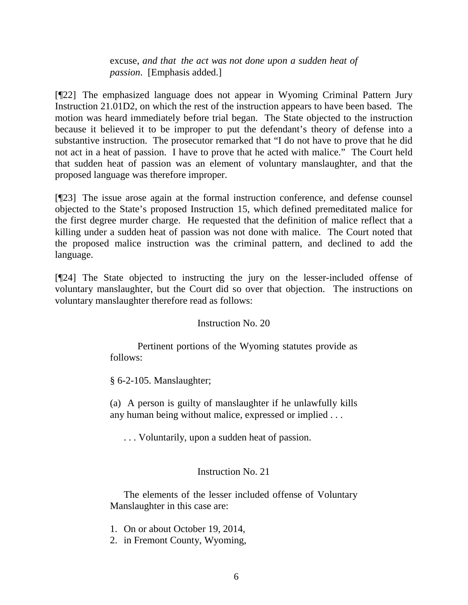excuse, *and that the act was not done upon a sudden heat of passion*. [Emphasis added.]

[¶22] The emphasized language does not appear in Wyoming Criminal Pattern Jury Instruction 21.01D2, on which the rest of the instruction appears to have been based. The motion was heard immediately before trial began. The State objected to the instruction because it believed it to be improper to put the defendant's theory of defense into a substantive instruction. The prosecutor remarked that "I do not have to prove that he did not act in a heat of passion. I have to prove that he acted with malice." The Court held that sudden heat of passion was an element of voluntary manslaughter, and that the proposed language was therefore improper.

[¶23] The issue arose again at the formal instruction conference, and defense counsel objected to the State's proposed Instruction 15, which defined premeditated malice for the first degree murder charge. He requested that the definition of malice reflect that a killing under a sudden heat of passion was not done with malice. The Court noted that the proposed malice instruction was the criminal pattern, and declined to add the language.

[¶24] The State objected to instructing the jury on the lesser-included offense of voluntary manslaughter, but the Court did so over that objection. The instructions on voluntary manslaughter therefore read as follows:

#### Instruction No. 20

Pertinent portions of the Wyoming statutes provide as follows:

§ 6-2-105. Manslaughter;

(a) A person is guilty of manslaughter if he unlawfully kills any human being without malice, expressed or implied . . .

. . . Voluntarily, upon a sudden heat of passion.

## Instruction No. 21

The elements of the lesser included offense of Voluntary Manslaughter in this case are:

- 1. On or about October 19, 2014,
- 2. in Fremont County, Wyoming,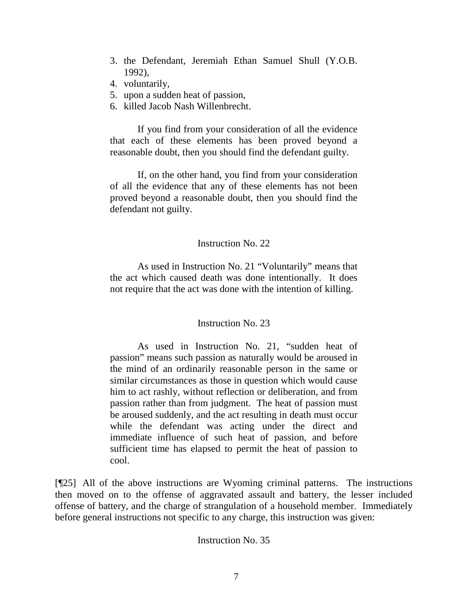- 3. the Defendant, Jeremiah Ethan Samuel Shull (Y.O.B. 1992),
- 4. voluntarily,
- 5. upon a sudden heat of passion,
- 6. killed Jacob Nash Willenbrecht.

If you find from your consideration of all the evidence that each of these elements has been proved beyond a reasonable doubt, then you should find the defendant guilty.

If, on the other hand, you find from your consideration of all the evidence that any of these elements has not been proved beyond a reasonable doubt, then you should find the defendant not guilty.

#### Instruction No. 22

As used in Instruction No. 21 "Voluntarily" means that the act which caused death was done intentionally. It does not require that the act was done with the intention of killing.

## Instruction No. 23

As used in Instruction No. 21, "sudden heat of passion" means such passion as naturally would be aroused in the mind of an ordinarily reasonable person in the same or similar circumstances as those in question which would cause him to act rashly, without reflection or deliberation, and from passion rather than from judgment. The heat of passion must be aroused suddenly, and the act resulting in death must occur while the defendant was acting under the direct and immediate influence of such heat of passion, and before sufficient time has elapsed to permit the heat of passion to cool.

[¶25] All of the above instructions are Wyoming criminal patterns. The instructions then moved on to the offense of aggravated assault and battery, the lesser included offense of battery, and the charge of strangulation of a household member. Immediately before general instructions not specific to any charge, this instruction was given:

## Instruction No. 35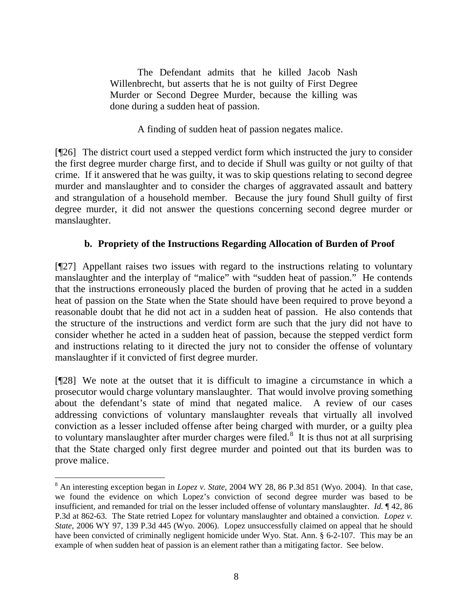The Defendant admits that he killed Jacob Nash Willenbrecht, but asserts that he is not guilty of First Degree Murder or Second Degree Murder, because the killing was done during a sudden heat of passion.

A finding of sudden heat of passion negates malice.

[¶26] The district court used a stepped verdict form which instructed the jury to consider the first degree murder charge first, and to decide if Shull was guilty or not guilty of that crime. If it answered that he was guilty, it was to skip questions relating to second degree murder and manslaughter and to consider the charges of aggravated assault and battery and strangulation of a household member. Because the jury found Shull guilty of first degree murder, it did not answer the questions concerning second degree murder or manslaughter.

# **b. Propriety of the Instructions Regarding Allocation of Burden of Proof**

[¶27] Appellant raises two issues with regard to the instructions relating to voluntary manslaughter and the interplay of "malice" with "sudden heat of passion." He contends that the instructions erroneously placed the burden of proving that he acted in a sudden heat of passion on the State when the State should have been required to prove beyond a reasonable doubt that he did not act in a sudden heat of passion. He also contends that the structure of the instructions and verdict form are such that the jury did not have to consider whether he acted in a sudden heat of passion, because the stepped verdict form and instructions relating to it directed the jury not to consider the offense of voluntary manslaughter if it convicted of first degree murder.

[¶28] We note at the outset that it is difficult to imagine a circumstance in which a prosecutor would charge voluntary manslaughter. That would involve proving something about the defendant's state of mind that negated malice. A review of our cases addressing convictions of voluntary manslaughter reveals that virtually all involved conviction as a lesser included offense after being charged with murder, or a guilty plea to voluntary manslaughter after murder charges were filed.<sup>[8](#page-8-0)</sup> It is thus not at all surprising that the State charged only first degree murder and pointed out that its burden was to prove malice.

<span id="page-8-0"></span> <sup>8</sup> An interesting exception began in *Lopez v. State*, 2004 WY 28, 86 P.3d 851 (Wyo. 2004). In that case, we found the evidence on which Lopez's conviction of second degree murder was based to be insufficient, and remanded for trial on the lesser included offense of voluntary manslaughter. *Id.* ¶ 42, 86 P.3d at 862-63. The State retried Lopez for voluntary manslaughter and obtained a conviction. *Lopez v. State*, 2006 WY 97, 139 P.3d 445 (Wyo. 2006). Lopez unsuccessfully claimed on appeal that he should have been convicted of criminally negligent homicide under Wyo. Stat. Ann. § 6-2-107. This may be an example of when sudden heat of passion is an element rather than a mitigating factor. See below.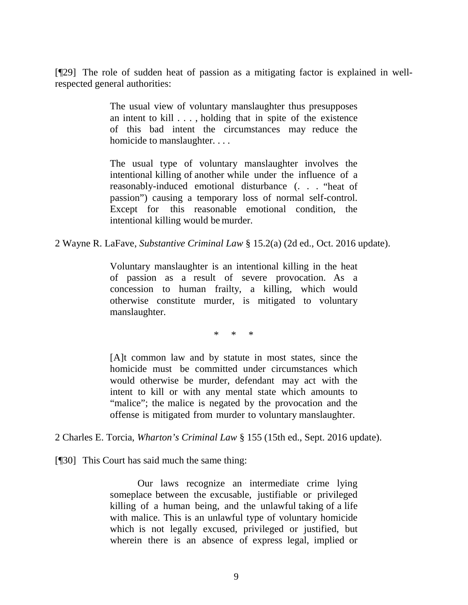[¶29] The role of sudden heat of passion as a mitigating factor is explained in wellrespected general authorities:

> The usual view of voluntary manslaughter thus presupposes an intent to kill . . . , holding that in spite of the existence of this bad intent the circumstances may reduce the homicide to manslaughter. . . .

> The usual type of voluntary manslaughter involves the intentional killing of another while under the influence of a reasonably-induced emotional disturbance (. . . "heat of passion") causing a temporary loss of normal self-control. Except for this reasonable emotional condition, the intentional killing would be murder.

2 Wayne R. LaFave, *Substantive Criminal Law* § 15.2(a) (2d ed., Oct. 2016 update).

Voluntary manslaughter is an intentional killing in the heat of passion as a result of severe provocation. As a concession to human frailty, a killing, which would otherwise constitute murder, is mitigated to voluntary manslaughter.

\* \* \*

[A]t common law and by statute in most states, since the homicide must be committed under circumstances which would otherwise be murder, defendant may act with the intent to kill or with any mental state which amounts to "malice"; the malice is negated by the provocation and the offense is mitigated from murder to voluntary manslaughter.

2 Charles E. Torcia, *Wharton's Criminal Law* § 155 (15th ed., Sept. 2016 update).

[¶30] This Court has said much the same thing:

Our laws recognize an intermediate crime lying someplace between the excusable, justifiable or privileged killing of a human being, and the unlawful taking of a life with malice. This is an unlawful type of voluntary homicide which is not legally excused, privileged or justified, but wherein there is an absence of express legal, implied or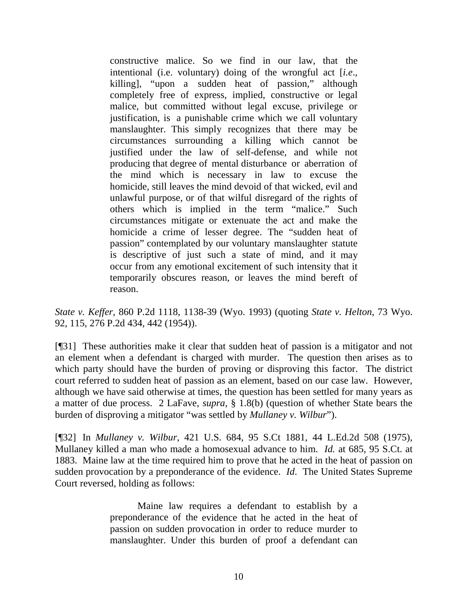constructive malice. So we find in our law, that the intentional (i.e. voluntary) doing of the wrongful act [*i.e*., killing], "upon a sudden heat of passion," although completely free of express, implied, constructive or legal malice, but committed without legal excuse, privilege or justification, is a punishable crime which we call voluntary manslaughter. This simply recognizes that there may be circumstances surrounding a killing which cannot be justified under the law of self-defense, and while not producing that degree of mental disturbance or aberration of the mind which is necessary in law to excuse the homicide, still leaves the mind devoid of that wicked, evil and unlawful purpose, or of that wilful disregard of the rights of others which is implied in the term "malice." Such circumstances mitigate or extenuate the act and make the homicide a crime of lesser degree. The "sudden heat of passion" contemplated by our voluntary manslaughter statute is descriptive of just such a state of mind, and it may occur from any emotional excitement of such intensity that it temporarily obscures reason, or leaves the mind bereft of reason.

*State v. Keffer*, 860 P.2d 1118, 1138-39 (Wyo. 1993) (quoting *State v. Helton*, 73 Wyo. 92, 115, 276 P.2d 434, 442 (1954)).

[¶31] These authorities make it clear that sudden heat of passion is a mitigator and not an element when a defendant is charged with murder. The question then arises as to which party should have the burden of proving or disproving this factor. The district court referred to sudden heat of passion as an element, based on our case law. However, although we have said otherwise at times, the question has been settled for many years as a matter of due process. 2 LaFave, *supra*, § 1.8(b) (question of whether State bears the burden of disproving a mitigator "was settled by *Mullaney v. Wilbur*").

[¶32] In *Mullaney v. Wilbur*, 421 U.S. 684, 95 S.Ct 1881, 44 L.Ed.2d 508 (1975), Mullaney killed a man who made a homosexual advance to him. *Id.* at 685, 95 S.Ct. at 1883. Maine law at the time required him to prove that he acted in the heat of passion on sudden provocation by a preponderance of the evidence. *Id*. The United States Supreme Court reversed, holding as follows:

> Maine law requires a defendant to establish by a preponderance of the evidence that he acted in the heat of passion on sudden provocation in order to reduce murder to manslaughter. Under this burden of proof a defendant can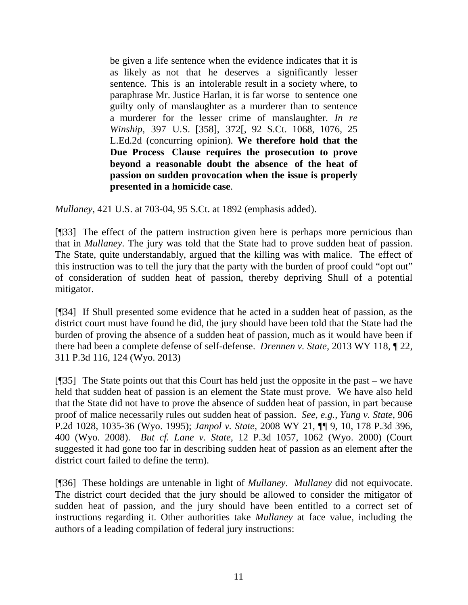be given a life sentence when the evidence indicates that it is as likely as not that he deserves a significantly lesser sentence. This is an intolerable result in a society where, to paraphrase Mr. Justice Harlan, it is far worse to sentence one guilty only of manslaughter as a murderer than to sentence a murderer for the lesser crime of manslaughter. *In re Winship*, 397 U.S. [358], 372[, 92 S.Ct. 1068, 1076, 25 L.Ed.2d (concurring opinion). **We therefore hold that the Due Process Clause requires the prosecution to prove beyond a reasonable doubt the absence of the heat of passion on sudden provocation when the issue is properly presented in a homicide case**.

*Mullaney*, 421 U.S. at 703-04, 95 S.Ct. at 1892 (emphasis added).

[¶33] The effect of the pattern instruction given here is perhaps more pernicious than that in *Mullaney*. The jury was told that the State had to prove sudden heat of passion. The State, quite understandably, argued that the killing was with malice. The effect of this instruction was to tell the jury that the party with the burden of proof could "opt out" of consideration of sudden heat of passion, thereby depriving Shull of a potential mitigator.

[¶34] If Shull presented some evidence that he acted in a sudden heat of passion, as the district court must have found he did, the jury should have been told that the State had the burden of proving the absence of a sudden heat of passion, much as it would have been if there had been a complete defense of self-defense. *Drennen v. State,* 2013 WY 118, ¶ 22, 311 P.3d 116, 124 (Wyo. 2013)

[¶35] The State points out that this Court has held just the opposite in the past – we have held that sudden heat of passion is an element the State must prove. We have also held that the State did not have to prove the absence of sudden heat of passion, in part because proof of malice necessarily rules out sudden heat of passion. *See, e.g., Yung v. State*, 906 P.2d 1028, 1035-36 (Wyo. 1995); *Janpol v. State*, 2008 WY 21, ¶¶ 9, 10, 178 P.3d 396, 400 (Wyo. 2008). *But cf. Lane v. State*, 12 P.3d 1057, 1062 (Wyo. 2000) (Court suggested it had gone too far in describing sudden heat of passion as an element after the district court failed to define the term).

[¶36] These holdings are untenable in light of *Mullaney*. *Mullaney* did not equivocate. The district court decided that the jury should be allowed to consider the mitigator of sudden heat of passion, and the jury should have been entitled to a correct set of instructions regarding it. Other authorities take *Mullaney* at face value, including the authors of a leading compilation of federal jury instructions: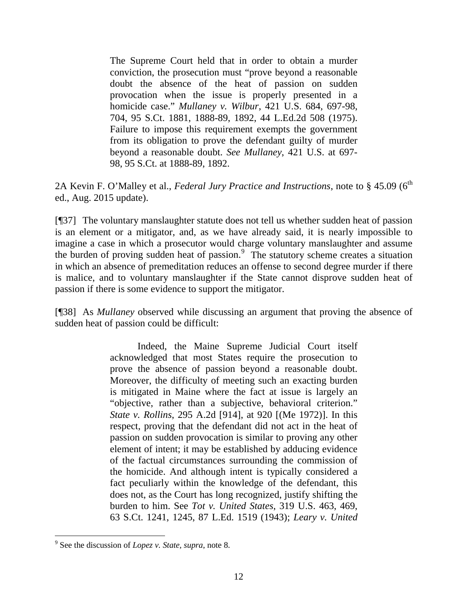The Supreme Court held that in order to obtain a murder conviction, the prosecution must "prove beyond a reasonable doubt the absence of the heat of passion on sudden provocation when the issue is properly presented in a homicide case." *Mullaney v. Wilbur*, 421 U.S. 684, 697-98, 704, 95 S.Ct. 1881, 1888-89, 1892, 44 L.Ed.2d 508 (1975). Failure to impose this requirement exempts the government from its obligation to prove the defendant guilty of murder beyond a reasonable doubt. *See Mullaney*, 421 U.S. at 697- 98, 95 S.Ct. at 1888-89, 1892.

2A Kevin F. O'Malley et al., *Federal Jury Practice and Instructions*, note to § 45.09 (6<sup>th</sup> ed., Aug. 2015 update).

[¶37] The voluntary manslaughter statute does not tell us whether sudden heat of passion is an element or a mitigator, and, as we have already said, it is nearly impossible to imagine a case in which a prosecutor would charge voluntary manslaughter and assume the burden of proving sudden heat of passion. [9](#page-12-0) The statutory scheme creates a situation in which an absence of premeditation reduces an offense to second degree murder if there is malice, and to voluntary manslaughter if the State cannot disprove sudden heat of passion if there is some evidence to support the mitigator.

[¶38] As *Mullaney* observed while discussing an argument that proving the absence of sudden heat of passion could be difficult:

> Indeed, the Maine Supreme Judicial Court itself acknowledged that most States require the prosecution to prove the absence of passion beyond a reasonable doubt. Moreover, the difficulty of meeting such an exacting burden is mitigated in Maine where the fact at issue is largely an "objective, rather than a subjective, behavioral criterion." *State v. Rollins*, 295 A.2d [914], at 920 [(Me 1972)]. In this respect, proving that the defendant did not act in the heat of passion on sudden provocation is similar to proving any other element of intent; it may be established by adducing evidence of the factual circumstances surrounding the commission of the homicide. And although intent is typically considered a fact peculiarly within the knowledge of the defendant, this does not, as the Court has long recognized, justify shifting the burden to him. See *Tot v. United States*, 319 U.S. 463, 469, 63 S.Ct. 1241, 1245, 87 L.Ed. 1519 (1943); *Leary v. United*

<span id="page-12-0"></span> <sup>9</sup> See the discussion of *Lopez v. State, supra*, note 8.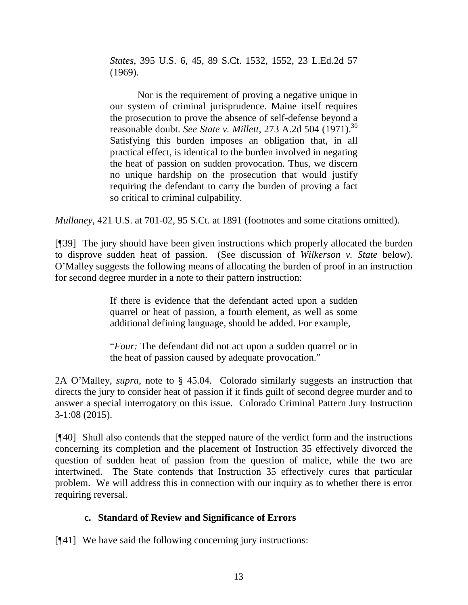*States*, 395 U.S. 6, 45, 89 S.Ct. 1532, 1552, 23 L.Ed.2d 57 (1969).

Nor is the requirement of proving a negative unique in our system of criminal jurisprudence. Maine itself requires the prosecution to prove the absence of self-defense beyond a reasonable doubt. *See State v. Millett*, 273 A.2d 504 (1971).<sup>30</sup> Satisfying this burden imposes an obligation that, in all practical effect, is identical to the burden involved in negating the heat of passion on sudden provocation. Thus, we discern no unique hardship on the prosecution that would justify requiring the defendant to carry the burden of proving a fact so critical to criminal culpability.

*Mullaney*, 421 U.S. at 701-02, 95 S.Ct. at 1891 (footnotes and some citations omitted).

[¶39] The jury should have been given instructions which properly allocated the burden to disprove sudden heat of passion. (See discussion of *Wilkerson v. State* below). O'Malley suggests the following means of allocating the burden of proof in an instruction for second degree murder in a note to their pattern instruction:

> If there is evidence that the defendant acted upon a sudden quarrel or heat of passion, a fourth element, as well as some additional defining language, should be added. For example,

> "*Four:* The defendant did not act upon a sudden quarrel or in the heat of passion caused by adequate provocation."

2A O'Malley, *supra*, note to § 45.04. Colorado similarly suggests an instruction that directs the jury to consider heat of passion if it finds guilt of second degree murder and to answer a special interrogatory on this issue. Colorado Criminal Pattern Jury Instruction 3-1:08 (2015).

[¶40] Shull also contends that the stepped nature of the verdict form and the instructions concerning its completion and the placement of Instruction 35 effectively divorced the question of sudden heat of passion from the question of malice, while the two are intertwined. The State contends that Instruction 35 effectively cures that particular problem. We will address this in connection with our inquiry as to whether there is error requiring reversal.

## **c. Standard of Review and Significance of Errors**

[¶41] We have said the following concerning jury instructions: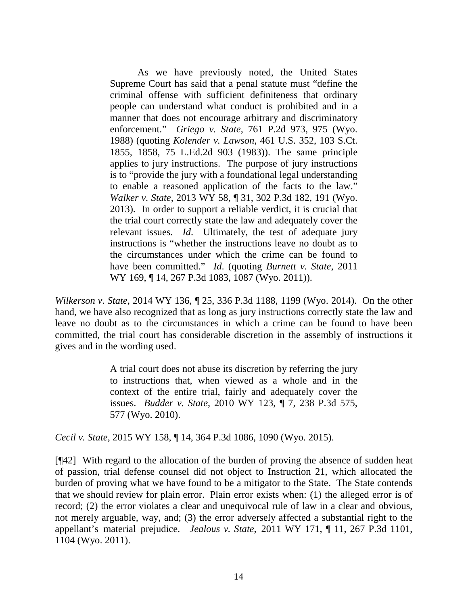As we have previously noted, the United States Supreme Court has said that a penal statute must "define the criminal offense with sufficient definiteness that ordinary people can understand what conduct is prohibited and in a manner that does not encourage arbitrary and discriminatory enforcement." *Griego v. State*, 761 P.2d 973, 975 (Wyo. 1988) (quoting *Kolender v. Lawson*, 461 U.S. 352, 103 S.Ct. 1855, 1858, 75 L.Ed.2d 903 (1983)). The same principle applies to jury instructions. The purpose of jury instructions is to "provide the jury with a foundational legal understanding to enable a reasoned application of the facts to the law." *Walker v. State*, 2013 WY 58, ¶ 31, 302 P.3d 182, 191 (Wyo. 2013). In order to support a reliable verdict, it is crucial that the trial court correctly state the law and adequately cover the relevant issues. *Id*. Ultimately, the test of adequate jury instructions is "whether the instructions leave no doubt as to the circumstances under which the crime can be found to have been committed." *Id*. (quoting *Burnett v. State*, 2011 WY 169, ¶ 14, 267 P.3d 1083, 1087 (Wyo. 2011)).

*Wilkerson v. State*, 2014 WY 136, ¶ 25, 336 P.3d 1188, 1199 (Wyo. 2014). On the other hand, we have also recognized that as long as jury instructions correctly state the law and leave no doubt as to the circumstances in which a crime can be found to have been committed, the trial court has considerable discretion in the assembly of instructions it gives and in the wording used.

> A trial court does not abuse its discretion by referring the jury to instructions that, when viewed as a whole and in the context of the entire trial, fairly and adequately cover the issues. *Budder v. State*, 2010 WY 123, ¶ 7, 238 P.3d 575, 577 (Wyo. 2010).

*Cecil v. State*, 2015 WY 158, ¶ 14, 364 P.3d 1086, 1090 (Wyo. 2015).

[¶42] With regard to the allocation of the burden of proving the absence of sudden heat of passion, trial defense counsel did not object to Instruction 21, which allocated the burden of proving what we have found to be a mitigator to the State. The State contends that we should review for plain error. Plain error exists when: (1) the alleged error is of record; (2) the error violates a clear and unequivocal rule of law in a clear and obvious, not merely arguable, way, and; (3) the error adversely affected a substantial right to the appellant's material prejudice. *Jealous v. State*, 2011 WY 171, ¶ 11, 267 P.3d 1101, 1104 (Wyo. 2011).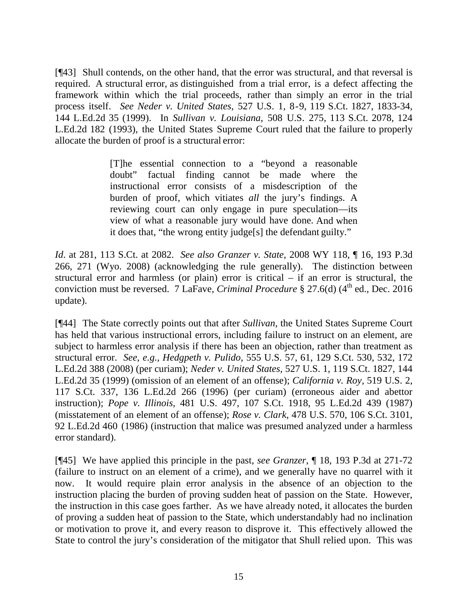[¶43] Shull contends, on the other hand, that the error was structural, and that reversal is required. A structural error, as distinguished from a trial error, is a defect affecting the framework within which the trial proceeds, rather than simply an error in the trial process itself. *See Neder v. United States*, 527 U.S. 1, 8-9, 119 S.Ct. 1827, 1833-34, 144 L.Ed.2d 35 (1999). In *Sullivan v. Louisiana*, 508 U.S. 275, 113 S.Ct. 2078, 124 L.Ed.2d 182 (1993), the United States Supreme Court ruled that the failure to properly allocate the burden of proof is a structural error:

> [T]he essential connection to a "beyond a reasonable doubt" factual finding cannot be made where the instructional error consists of a misdescription of the burden of proof, which vitiates *all* the jury's findings. A reviewing court can only engage in pure speculation—its view of what a reasonable jury would have done. And when it does that, "the wrong entity judge[s] the defendant guilty."

*Id*. at 281, 113 S.Ct. at 2082. *See also Granzer v. State*, 2008 WY 118, ¶ 16, 193 P.3d 266, 271 (Wyo. 2008) (acknowledging the rule generally). The distinction between structural error and harmless (or plain) error is critical – if an error is structural, the conviction must be reversed. 7 LaFave, *Criminal Procedure* § 27.6(d) (4<sup>th</sup> ed., Dec. 2016 update).

[¶44] The State correctly points out that after *Sullivan*, the United States Supreme Court has held that various instructional errors, including failure to instruct on an element, are subject to harmless error analysis if there has been an objection, rather than treatment as structural error. *See*, *e.g., Hedgpeth v. Pulido*, 555 U.S. 57, 61, 129 S.Ct. 530, 532, 172 L.Ed.2d 388 (2008) (per curiam); *Neder v. United States,* 527 U.S. 1, 119 S.Ct. 1827, 144 L.Ed.2d 35 (1999) (omission of an element of an offense); *California v. Roy,* 519 U.S. 2, 117 S.Ct. 337, 136 L.Ed.2d 266 (1996) (per curiam) (erroneous aider and abettor instruction); *Pope v. Illinois,* 481 U.S. 497, 107 S.Ct. 1918, 95 L.Ed.2d 439 (1987) (misstatement of an element of an offense); *Rose v. Clark*, 478 U.S. 570, 106 S.Ct. 3101, 92 L.Ed.2d 460 (1986) (instruction that malice was presumed analyzed under a harmless error standard).

[¶45] We have applied this principle in the past, *see Granzer*, ¶ 18, 193 P.3d at 271-72 (failure to instruct on an element of a crime), and we generally have no quarrel with it now. It would require plain error analysis in the absence of an objection to the instruction placing the burden of proving sudden heat of passion on the State. However, the instruction in this case goes farther. As we have already noted, it allocates the burden of proving a sudden heat of passion to the State, which understandably had no inclination or motivation to prove it, and every reason to disprove it. This effectively allowed the State to control the jury's consideration of the mitigator that Shull relied upon. This was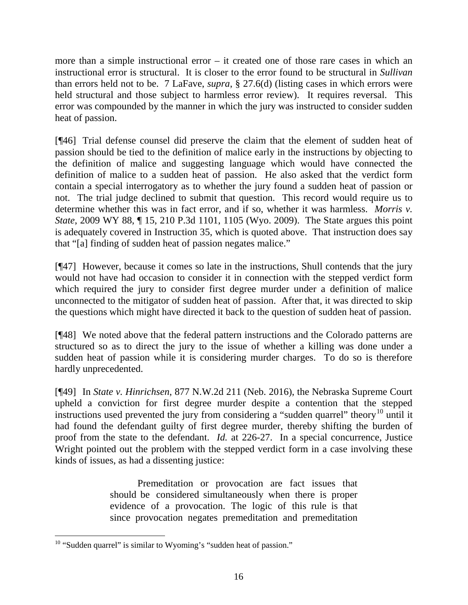more than a simple instructional error – it created one of those rare cases in which an instructional error is structural. It is closer to the error found to be structural in *Sullivan* than errors held not to be. 7 LaFave, *supra*, § 27.6(d) (listing cases in which errors were held structural and those subject to harmless error review). It requires reversal. This error was compounded by the manner in which the jury was instructed to consider sudden heat of passion.

[¶46] Trial defense counsel did preserve the claim that the element of sudden heat of passion should be tied to the definition of malice early in the instructions by objecting to the definition of malice and suggesting language which would have connected the definition of malice to a sudden heat of passion. He also asked that the verdict form contain a special interrogatory as to whether the jury found a sudden heat of passion or not. The trial judge declined to submit that question. This record would require us to determine whether this was in fact error, and if so, whether it was harmless. *Morris v. State*, 2009 WY 88, 15, 210 P.3d 1101, 1105 (Wyo. 2009). The State argues this point is adequately covered in Instruction 35, which is quoted above. That instruction does say that "[a] finding of sudden heat of passion negates malice."

[¶47] However, because it comes so late in the instructions, Shull contends that the jury would not have had occasion to consider it in connection with the stepped verdict form which required the jury to consider first degree murder under a definition of malice unconnected to the mitigator of sudden heat of passion. After that, it was directed to skip the questions which might have directed it back to the question of sudden heat of passion.

[¶48] We noted above that the federal pattern instructions and the Colorado patterns are structured so as to direct the jury to the issue of whether a killing was done under a sudden heat of passion while it is considering murder charges. To do so is therefore hardly unprecedented.

[¶49] In *State v. Hinrichsen*, 877 N.W.2d 211 (Neb. 2016), the Nebraska Supreme Court upheld a conviction for first degree murder despite a contention that the stepped instructions used prevented the jury from considering a "sudden quarrel" theory<sup>[10](#page-16-0)</sup> until it had found the defendant guilty of first degree murder, thereby shifting the burden of proof from the state to the defendant. *Id.* at 226-27. In a special concurrence, Justice Wright pointed out the problem with the stepped verdict form in a case involving these kinds of issues, as had a dissenting justice:

> Premeditation or provocation are fact issues that should be considered simultaneously when there is proper evidence of a provocation. The logic of this rule is that since provocation negates premeditation and premeditation

<span id="page-16-0"></span><sup>&</sup>lt;sup>10</sup> "Sudden quarrel" is similar to Wyoming's "sudden heat of passion."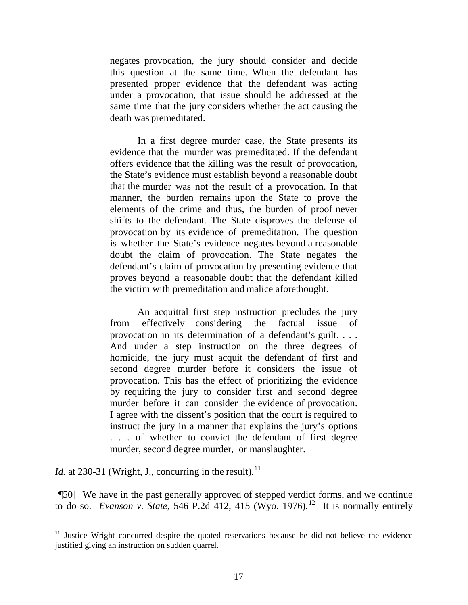negates provocation, the jury should consider and decide this question at the same time. When the defendant has presented proper evidence that the defendant was acting under a provocation, that issue should be addressed at the same time that the jury considers whether the act causing the death was premeditated.

In a first degree murder case, the State presents its evidence that the murder was premeditated. If the defendant offers evidence that the killing was the result of provocation, the State's evidence must establish beyond a reasonable doubt that the murder was not the result of a provocation. In that manner, the burden remains upon the State to prove the elements of the crime and thus, the burden of proof never shifts to the defendant. The State disproves the defense of provocation by its evidence of premeditation. The question is whether the State's evidence negates beyond a reasonable doubt the claim of provocation. The State negates the defendant's claim of provocation by presenting evidence that proves beyond a reasonable doubt that the defendant killed the victim with premeditation and malice aforethought.

An acquittal first step instruction precludes the jury from effectively considering the factual issue of provocation in its determination of a defendant's guilt. . . . And under a step instruction on the three degrees of homicide, the jury must acquit the defendant of first and second degree murder before it considers the issue of provocation. This has the effect of prioritizing the evidence by requiring the jury to consider first and second degree murder before it can consider the evidence of provocation. I agree with the dissent's position that the court is required to instruct the jury in a manner that explains the jury's options . . . of whether to convict the defendant of first degree murder, second degree murder, or manslaughter.

*Id.* at 230-31 (Wright, J., concurring in the result).<sup>[11](#page-17-0)</sup>

[¶50] We have in the past generally approved of stepped verdict forms, and we continue to do so. *Evanson v. State*, 546 P.2d 412, 415 (Wyo. 1976).<sup>12</sup> It is normally entirely

<span id="page-17-1"></span><span id="page-17-0"></span> $11$  Justice Wright concurred despite the quoted reservations because he did not believe the evidence justified giving an instruction on sudden quarrel.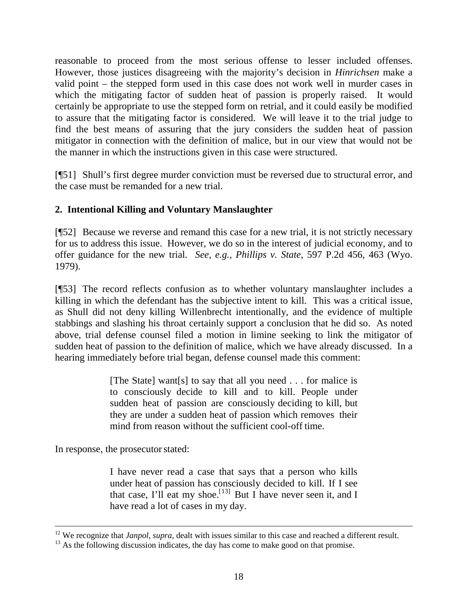reasonable to proceed from the most serious offense to lesser included offenses. However, those justices disagreeing with the majority's decision in *Hinrichsen* make a valid point – the stepped form used in this case does not work well in murder cases in which the mitigating factor of sudden heat of passion is properly raised. It would certainly be appropriate to use the stepped form on retrial, and it could easily be modified to assure that the mitigating factor is considered. We will leave it to the trial judge to find the best means of assuring that the jury considers the sudden heat of passion mitigator in connection with the definition of malice, but in our view that would not be the manner in which the instructions given in this case were structured.

[¶51] Shull's first degree murder conviction must be reversed due to structural error, and the case must be remanded for a new trial.

# **2. Intentional Killing and Voluntary Manslaughter**

[¶52] Because we reverse and remand this case for a new trial, it is not strictly necessary for us to address this issue. However, we do so in the interest of judicial economy, and to offer guidance for the new trial*. See, e.g., Phillips v. State*, 597 P.2d 456, 463 (Wyo. 1979).

[¶53] The record reflects confusion as to whether voluntary manslaughter includes a killing in which the defendant has the subjective intent to kill. This was a critical issue, as Shull did not deny killing Willenbrecht intentionally, and the evidence of multiple stabbings and slashing his throat certainly support a conclusion that he did so. As noted above, trial defense counsel filed a motion in limine seeking to link the mitigator of sudden heat of passion to the definition of malice, which we have already discussed. In a hearing immediately before trial began, defense counsel made this comment:

> [The State] want[s] to say that all you need . . . for malice is to consciously decide to kill and to kill. People under sudden heat of passion are consciously deciding to kill, but they are under a sudden heat of passion which removes their mind from reason without the sufficient cool-off time.

In response, the prosecutor stated:

I have never read a case that says that a person who kills under heat of passion has consciously decided to kill. If I see that case, I'll eat my shoe.<sup>[[13\]](#page-18-0)</sup> But I have never seen it, and I have read a lot of cases in my day.

<sup>&</sup>lt;sup>12</sup> We recognize that *Janpol, supra*, dealt with issues similar to this case and reached a different result.

<span id="page-18-0"></span> $13$  As the following discussion indicates, the day has come to make good on that promise.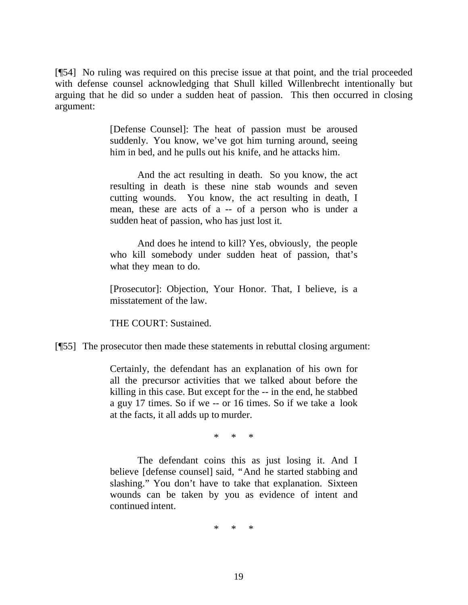[¶54] No ruling was required on this precise issue at that point, and the trial proceeded with defense counsel acknowledging that Shull killed Willenbrecht intentionally but arguing that he did so under a sudden heat of passion. This then occurred in closing argument:

> [Defense Counsel]: The heat of passion must be aroused suddenly. You know, we've got him turning around, seeing him in bed, and he pulls out his knife, and he attacks him.

> And the act resulting in death. So you know, the act resulting in death is these nine stab wounds and seven cutting wounds. You know, the act resulting in death, I mean, these are acts of a -- of a person who is under a sudden heat of passion, who has just lost it.

> And does he intend to kill? Yes, obviously, the people who kill somebody under sudden heat of passion, that's what they mean to do.

> [Prosecutor]: Objection, Your Honor. That, I believe, is a misstatement of the law.

THE COURT: Sustained.

[¶55] The prosecutor then made these statements in rebuttal closing argument:

Certainly, the defendant has an explanation of his own for all the precursor activities that we talked about before the killing in this case. But except for the -- in the end, he stabbed a guy 17 times. So if we -- or 16 times. So if we take a look at the facts, it all adds up to murder.

\* \* \*

The defendant coins this as just losing it. And I believe [defense counsel] said, "And he started stabbing and slashing." You don't have to take that explanation. Sixteen wounds can be taken by you as evidence of intent and continued intent.

\* \* \*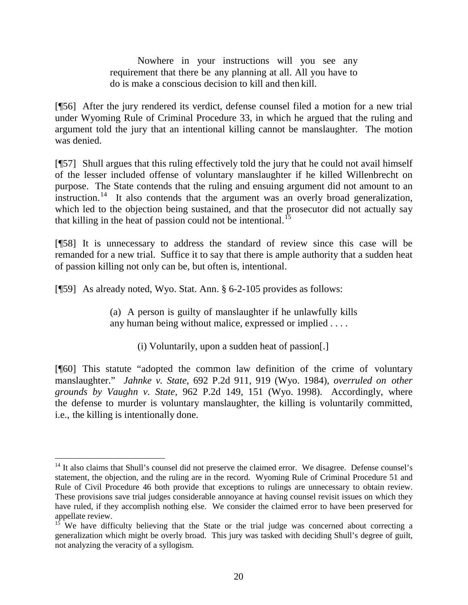Nowhere in your instructions will you see any requirement that there be any planning at all. All you have to do is make a conscious decision to kill and then kill.

[¶56] After the jury rendered its verdict, defense counsel filed a motion for a new trial under Wyoming Rule of Criminal Procedure 33, in which he argued that the ruling and argument told the jury that an intentional killing cannot be manslaughter. The motion was denied.

[¶57] Shull argues that this ruling effectively told the jury that he could not avail himself of the lesser included offense of voluntary manslaughter if he killed Willenbrecht on purpose. The State contends that the ruling and ensuing argument did not amount to an instruction.<sup>[14](#page-20-0)</sup> It also contends that the argument was an overly broad generalization, which led to the objection being sustained, and that the prosecutor did not actually say that killing in the heat of passion could not be intentional.<sup>[15](#page-20-1)</sup>

[¶58] It is unnecessary to address the standard of review since this case will be remanded for a new trial. Suffice it to say that there is ample authority that a sudden heat of passion killing not only can be, but often is, intentional.

[¶59] As already noted, Wyo. Stat. Ann. § 6-2-105 provides as follows:

(a) A person is guilty of manslaughter if he unlawfully kills any human being without malice, expressed or implied . . . .

(i) Voluntarily, upon a sudden heat of passion[.]

[¶60] This statute "adopted the common law definition of the crime of voluntary manslaughter." *Jahnke v. State*, 692 P.2d 911, 919 (Wyo. 1984), *overruled on other grounds by Vaughn v. State*, 962 P.2d 149, 151 (Wyo. 1998). Accordingly, where the defense to murder is voluntary manslaughter, the killing is voluntarily committed, i.e., the killing is intentionally done.

<span id="page-20-0"></span><sup>&</sup>lt;sup>14</sup> It also claims that Shull's counsel did not preserve the claimed error. We disagree. Defense counsel's statement, the objection, and the ruling are in the record. Wyoming Rule of Criminal Procedure 51 and Rule of Civil Procedure 46 both provide that exceptions to rulings are unnecessary to obtain review. These provisions save trial judges considerable annoyance at having counsel revisit issues on which they have ruled, if they accomplish nothing else. We consider the claimed error to have been preserved for appellate review.<br><sup>15</sup> We have difficulty believing that the State or the trial judge was concerned about correcting a

<span id="page-20-1"></span>generalization which might be overly broad. This jury was tasked with deciding Shull's degree of guilt, not analyzing the veracity of a syllogism.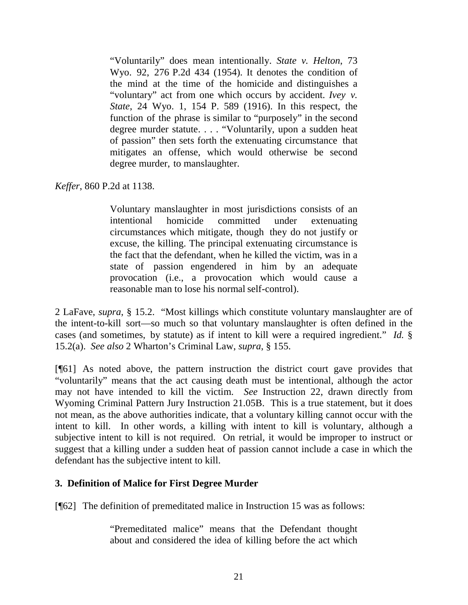"Voluntarily" does mean intentionally. *State v. Helton*, 73 Wyo. 92, 276 P.2d 434 (1954). It denotes the condition of the mind at the time of the homicide and distinguishes a "voluntary" act from one which occurs by accident. *Ivey v. State*, 24 Wyo. 1, 154 P. 589 (1916). In this respect, the function of the phrase is similar to "purposely" in the second degree murder statute. . . . "Voluntarily, upon a sudden heat of passion" then sets forth the extenuating circumstance that mitigates an offense, which would otherwise be second degree murder, to manslaughter.

#### *Keffer*, 860 P.2d at 1138.

Voluntary manslaughter in most jurisdictions consists of an intentional homicide committed under extenuating circumstances which mitigate, though they do not justify or excuse, the killing. The principal extenuating circumstance is the fact that the defendant, when he killed the victim, was in a state of passion engendered in him by an adequate provocation (i.e., a provocation which would cause a reasonable man to lose his normal self-control).

2 LaFave, *supra*, § 15.2. "Most killings which constitute voluntary manslaughter are of the intent-to-kill sort—so much so that voluntary manslaughter is often defined in the cases (and sometimes, by statute) as if intent to kill were a required ingredient." *Id.* § 15.2(a). *See also* 2 Wharton's Criminal Law, *supra*, § 155.

[¶61] As noted above, the pattern instruction the district court gave provides that "voluntarily" means that the act causing death must be intentional, although the actor may not have intended to kill the victim. *See* Instruction 22, drawn directly from Wyoming Criminal Pattern Jury Instruction 21.05B. This is a true statement, but it does not mean, as the above authorities indicate, that a voluntary killing cannot occur with the intent to kill. In other words, a killing with intent to kill is voluntary, although a subjective intent to kill is not required. On retrial, it would be improper to instruct or suggest that a killing under a sudden heat of passion cannot include a case in which the defendant has the subjective intent to kill.

## **3. Definition of Malice for First Degree Murder**

[¶62] The definition of premeditated malice in Instruction 15 was as follows:

"Premeditated malice" means that the Defendant thought about and considered the idea of killing before the act which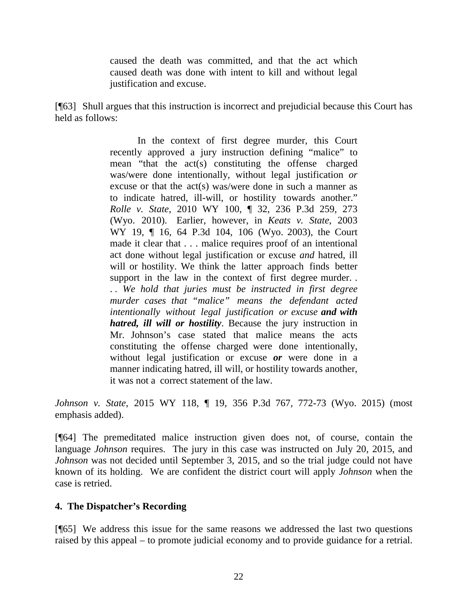caused the death was committed, and that the act which caused death was done with intent to kill and without legal justification and excuse.

[¶63] Shull argues that this instruction is incorrect and prejudicial because this Court has held as follows:

> In the context of first degree murder, this Court recently approved a jury instruction defining "malice" to mean "that the act(s) constituting the offense charged was/were done intentionally, without legal justification *or* excuse or that the act(s) was/were done in such a manner as to indicate hatred, ill-will, or hostility towards another." *Rolle v. State*, 2010 WY 100, ¶ 32, 236 P.3d 259, 273 (Wyo. 2010). Earlier, however, in *Keats v. State*, 2003 WY 19, ¶ 16, 64 P.3d 104, 106 (Wyo. 2003), the Court made it clear that . . . malice requires proof of an intentional act done without legal justification or excuse *and* hatred, ill will or hostility. We think the latter approach finds better support in the law in the context of first degree murder... . . *We hold that juries must be instructed in first degree murder cases that "malice" means the defendant acted intentionally without legal justification or excuse and with hatred, ill will or hostility*. Because the jury instruction in Mr. Johnson's case stated that malice means the acts constituting the offense charged were done intentionally, without legal justification or excuse *or* were done in a manner indicating hatred, ill will, or hostility towards another, it was not a correct statement of the law.

*Johnson v. State*, 2015 WY 118, ¶ 19, 356 P.3d 767, 772-73 (Wyo. 2015) (most emphasis added).

[¶64] The premeditated malice instruction given does not, of course, contain the language *Johnson* requires. The jury in this case was instructed on July 20, 2015, and *Johnson* was not decided until September 3, 2015, and so the trial judge could not have known of its holding. We are confident the district court will apply *Johnson* when the case is retried.

## **4. The Dispatcher's Recording**

[¶65] We address this issue for the same reasons we addressed the last two questions raised by this appeal – to promote judicial economy and to provide guidance for a retrial.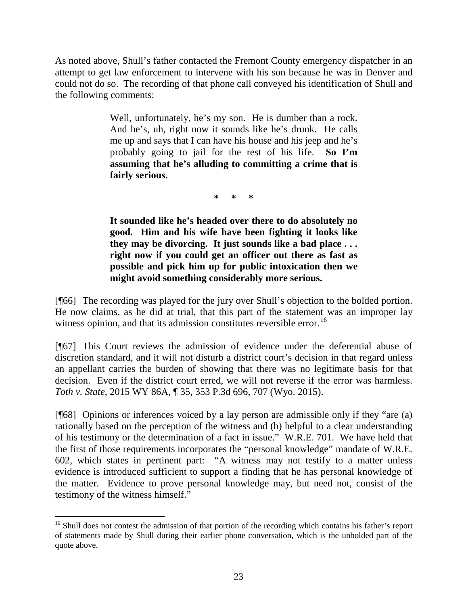As noted above, Shull's father contacted the Fremont County emergency dispatcher in an attempt to get law enforcement to intervene with his son because he was in Denver and could not do so. The recording of that phone call conveyed his identification of Shull and the following comments:

> Well, unfortunately, he's my son. He is dumber than a rock. And he's, uh, right now it sounds like he's drunk. He calls me up and says that I can have his house and his jeep and he's probably going to jail for the rest of his life. **So I'm assuming that he's alluding to committing a crime that is fairly serious.**

> > **\* \* \***

**It sounded like he's headed over there to do absolutely no good. Him and his wife have been fighting it looks like they may be divorcing. It just sounds like a bad place . . . right now if you could get an officer out there as fast as possible and pick him up for public intoxication then we might avoid something considerably more serious.**

[¶66] The recording was played for the jury over Shull's objection to the bolded portion. He now claims, as he did at trial, that this part of the statement was an improper lay witness opinion, and that its admission constitutes reversible error.<sup>16</sup>

[¶67] This Court reviews the admission of evidence under the deferential abuse of discretion standard, and it will not disturb a district court's decision in that regard unless an appellant carries the burden of showing that there was no legitimate basis for that decision. Even if the district court erred, we will not reverse if the error was harmless. *Toth v. State*, 2015 WY 86A, ¶ 35, 353 P.3d 696, 707 (Wyo. 2015).

[¶68] Opinions or inferences voiced by a lay person are admissible only if they "are (a) rationally based on the perception of the witness and (b) helpful to a clear understanding of his testimony or the determination of a fact in issue." W.R.E. 701. We have held that the first of those requirements incorporates the "personal knowledge" mandate of W.R.E. 602, which states in pertinent part: "A witness may not testify to a matter unless evidence is introduced sufficient to support a finding that he has personal knowledge of the matter. Evidence to prove personal knowledge may, but need not, consist of the testimony of the witness himself."

<span id="page-23-0"></span><sup>&</sup>lt;sup>16</sup> Shull does not contest the admission of that portion of the recording which contains his father's report of statements made by Shull during their earlier phone conversation, which is the unbolded part of the quote above.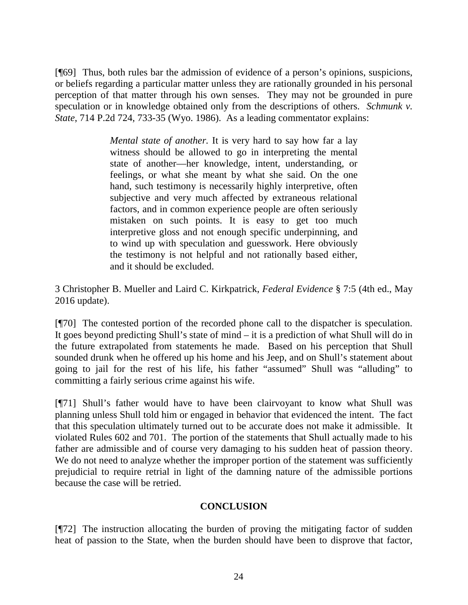[¶69] Thus, both rules bar the admission of evidence of a person's opinions, suspicions, or beliefs regarding a particular matter unless they are rationally grounded in his personal perception of that matter through his own senses. They may not be grounded in pure speculation or in knowledge obtained only from the descriptions of others. *Schmunk v. State*, 714 P.2d 724, 733-35 (Wyo. 1986). As a leading commentator explains:

> *Mental state of another.* It is very hard to say how far a lay witness should be allowed to go in interpreting the mental state of another—her knowledge, intent, understanding, or feelings, or what she meant by what she said. On the one hand, such testimony is necessarily highly interpretive, often subjective and very much affected by extraneous relational factors, and in common experience people are often seriously mistaken on such points. It is easy to get too much interpretive gloss and not enough specific underpinning, and to wind up with speculation and guesswork. Here obviously the testimony is not helpful and not rationally based either, and it should be excluded.

3 Christopher B. Mueller and Laird C. Kirkpatrick, *Federal Evidence* § 7:5 (4th ed., May 2016 update).

[¶70] The contested portion of the recorded phone call to the dispatcher is speculation. It goes beyond predicting Shull's state of mind – it is a prediction of what Shull will do in the future extrapolated from statements he made. Based on his perception that Shull sounded drunk when he offered up his home and his Jeep, and on Shull's statement about going to jail for the rest of his life, his father "assumed" Shull was "alluding" to committing a fairly serious crime against his wife.

[¶71] Shull's father would have to have been clairvoyant to know what Shull was planning unless Shull told him or engaged in behavior that evidenced the intent. The fact that this speculation ultimately turned out to be accurate does not make it admissible. It violated Rules 602 and 701. The portion of the statements that Shull actually made to his father are admissible and of course very damaging to his sudden heat of passion theory. We do not need to analyze whether the improper portion of the statement was sufficiently prejudicial to require retrial in light of the damning nature of the admissible portions because the case will be retried.

#### **CONCLUSION**

[¶72] The instruction allocating the burden of proving the mitigating factor of sudden heat of passion to the State, when the burden should have been to disprove that factor,